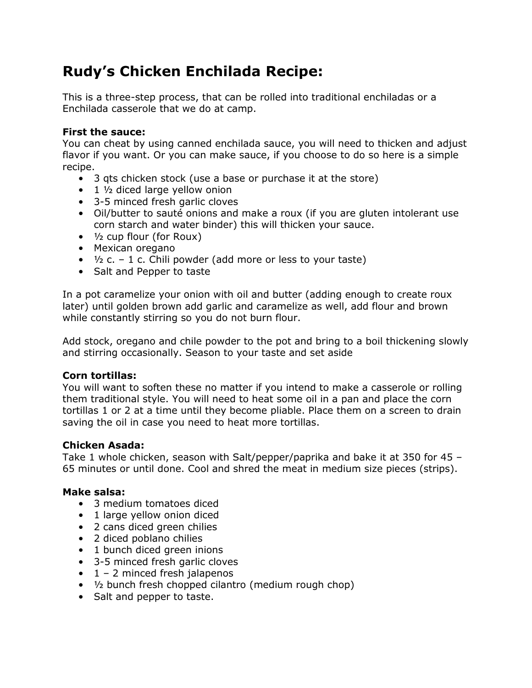# **Rudy's Chicken Enchilada Recipe:**

This is a three-step process, that can be rolled into traditional enchiladas or a Enchilada casserole that we do at camp.

# **First the sauce:**

You can cheat by using canned enchilada sauce, you will need to thicken and adjust flavor if you want. Or you can make sauce, if you choose to do so here is a simple recipe.

- 3 qts chicken stock (use a base or purchase it at the store)
- $\bullet$  1  $\frac{1}{2}$  diced large yellow onion
- 3-5 minced fresh garlic cloves
- Oil/butter to sauté onions and make a roux (if you are gluten intolerant use corn starch and water binder) this will thicken your sauce.
- ½ cup flour (for Roux)
- Mexican oregano
- $\frac{1}{2}$  c. 1 c. Chili powder (add more or less to your taste)
- Salt and Pepper to taste

In a pot caramelize your onion with oil and butter (adding enough to create roux later) until golden brown add garlic and caramelize as well, add flour and brown while constantly stirring so you do not burn flour.

Add stock, oregano and chile powder to the pot and bring to a boil thickening slowly and stirring occasionally. Season to your taste and set aside

## **Corn tortillas:**

You will want to soften these no matter if you intend to make a casserole or rolling them traditional style. You will need to heat some oil in a pan and place the corn tortillas 1 or 2 at a time until they become pliable. Place them on a screen to drain saving the oil in case you need to heat more tortillas.

## **Chicken Asada:**

Take 1 whole chicken, season with Salt/pepper/paprika and bake it at 350 for 45 – 65 minutes or until done. Cool and shred the meat in medium size pieces (strips).

## **Make salsa:**

- 3 medium tomatoes diced
- 1 large yellow onion diced
- 2 cans diced green chilies
- 2 diced poblano chilies
- 1 bunch diced green inions
- 3-5 minced fresh garlic cloves
- $\bullet$  1 2 minced fresh jalapenos
- ½ bunch fresh chopped cilantro (medium rough chop)
- Salt and pepper to taste.